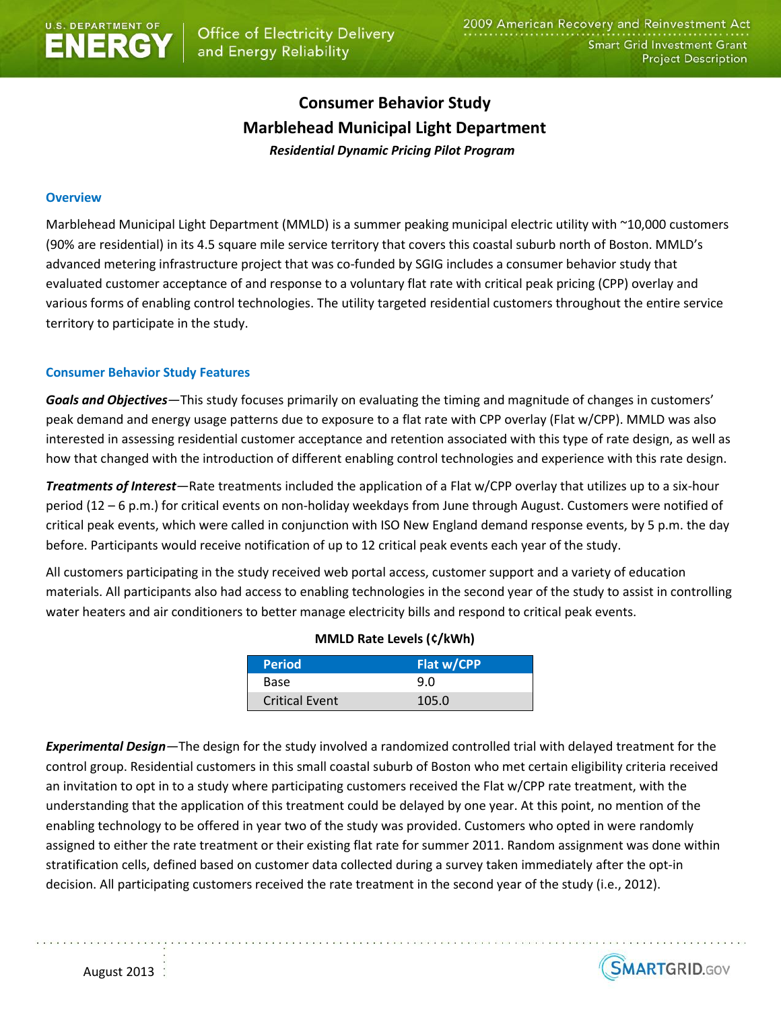# **Consumer Behavior Study Marblehead Municipal Light Department** *Residential Dynamic Pricing Pilot Program*

## **Overview**

Marblehead Municipal Light Department (MMLD) is a summer peaking municipal electric utility with ~10,000 customers (90% are residential) in its 4.5 square mile service territory that covers this coastal suburb north of Boston. MMLD's advanced metering infrastructure project that was co-funded by SGIG includes a consumer behavior study that evaluated customer acceptance of and response to a voluntary flat rate with critical peak pricing (CPP) overlay and various forms of enabling control technologies. The utility targeted residential customers throughout the entire service territory to participate in the study.

## **Consumer Behavior Study Features**

*Goals and Objectives—*This study focuses primarily on evaluating the timing and magnitude of changes in customers' peak demand and energy usage patterns due to exposure to a flat rate with CPP overlay (Flat w/CPP). MMLD was also interested in assessing residential customer acceptance and retention associated with this type of rate design, as well as how that changed with the introduction of different enabling control technologies and experience with this rate design.

*Treatments of Interest—*Rate treatments included the application of a Flat w/CPP overlay that utilizes up to a six-hour period (12 – 6 p.m.) for critical events on non-holiday weekdays from June through August. Customers were notified of critical peak events, which were called in conjunction with ISO New England demand response events, by 5 p.m. the day before. Participants would receive notification of up to 12 critical peak events each year of the study.

All customers participating in the study received web portal access, customer support and a variety of education materials. All participants also had access to enabling technologies in the second year of the study to assist in controlling water heaters and air conditioners to better manage electricity bills and respond to critical peak events.

| <b>Period</b>         | Flat w/CPP |
|-----------------------|------------|
| Base                  | 9.0        |
| <b>Critical Event</b> | 105.0      |

## **MMLD Rate Levels (¢/kWh)**

*Experimental Design—*The design for the study involved a randomized controlled trial with delayed treatment for the control group. Residential customers in this small coastal suburb of Boston who met certain eligibility criteria received an invitation to opt in to a study where participating customers received the Flat w/CPP rate treatment, with the understanding that the application of this treatment could be delayed by one year. At this point, no mention of the enabling technology to be offered in year two of the study was provided. Customers who opted in were randomly assigned to either the rate treatment or their existing flat rate for summer 2011. Random assignment was done within stratification cells, defined based on customer data collected during a survey taken immediately after the opt-in decision. All participating customers received the rate treatment in the second year of the study (i.e., 2012).